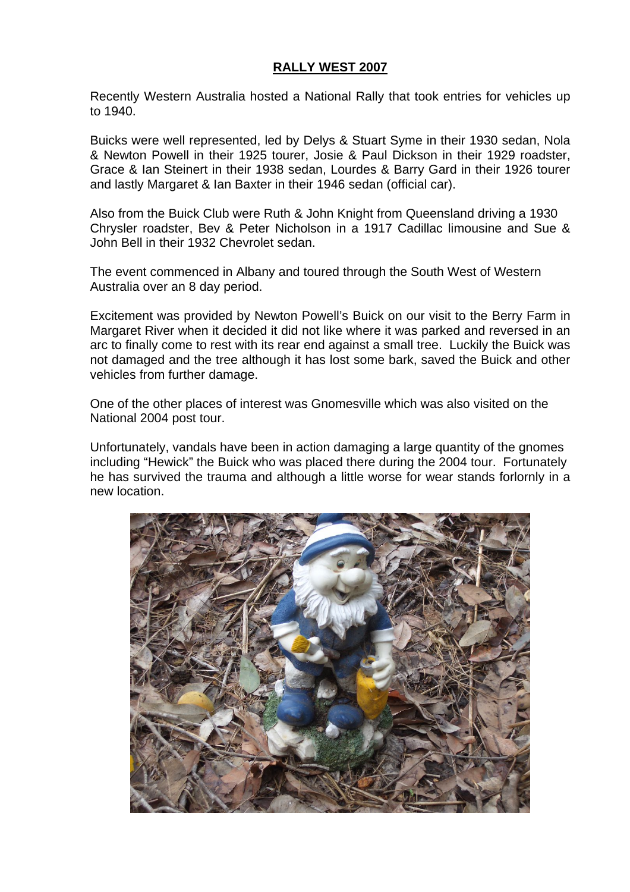## **RALLY WEST 2007**

Recently Western Australia hosted a National Rally that took entries for vehicles up to 1940.

Buicks were well represented, led by Delys & Stuart Syme in their 1930 sedan, Nola & Newton Powell in their 1925 tourer, Josie & Paul Dickson in their 1929 roadster, Grace & Ian Steinert in their 1938 sedan, Lourdes & Barry Gard in their 1926 tourer and lastly Margaret & Ian Baxter in their 1946 sedan (official car).

Also from the Buick Club were Ruth & John Knight from Queensland driving a 1930 Chrysler roadster, Bev & Peter Nicholson in a 1917 Cadillac limousine and Sue & John Bell in their 1932 Chevrolet sedan.

The event commenced in Albany and toured through the South West of Western Australia over an 8 day period.

Excitement was provided by Newton Powell's Buick on our visit to the Berry Farm in Margaret River when it decided it did not like where it was parked and reversed in an arc to finally come to rest with its rear end against a small tree. Luckily the Buick was not damaged and the tree although it has lost some bark, saved the Buick and other vehicles from further damage.

One of the other places of interest was Gnomesville which was also visited on the National 2004 post tour.

Unfortunately, vandals have been in action damaging a large quantity of the gnomes including "Hewick" the Buick who was placed there during the 2004 tour. Fortunately he has survived the trauma and although a little worse for wear stands forlornly in a new location.